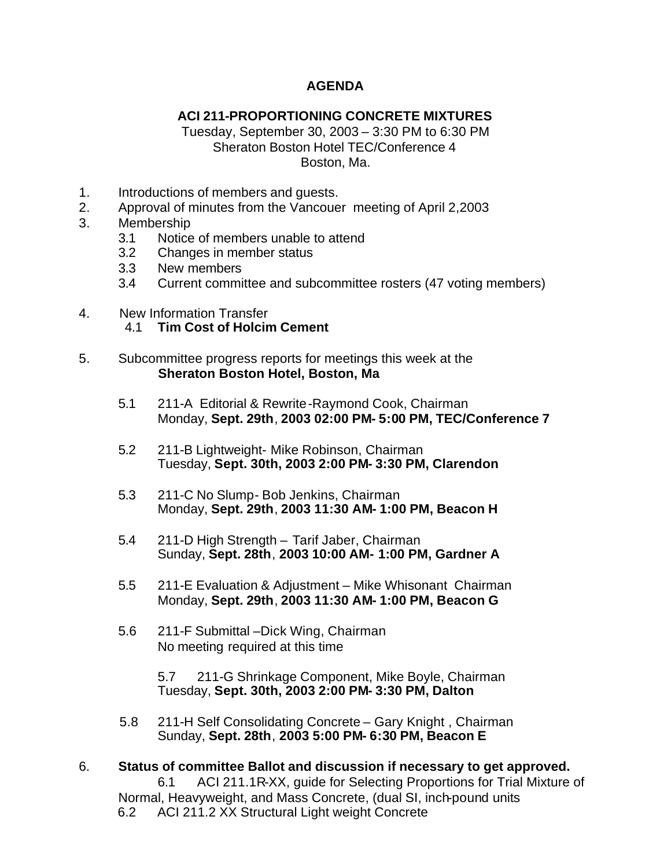## **AGENDA**

## **ACI 211-PROPORTIONING CONCRETE MIXTURES**

Tuesday, September 30, 2003 – 3:30 PM to 6:30 PM Sheraton Boston Hotel TEC/Conference 4 Boston, Ma.

- 1. Introductions of members and guests.
- 2. Approval of minutes from the Vancouer meeting of April 2,2003
- 3. Membership
	- 3.1 Notice of members unable to attend
	- 3.2 Changes in member status
	- 3.3 New members
	- 3.4 Current committee and subcommittee rosters (47 voting members)
- 4. New Information Transfer
	- 4.1 **Tim Cost of Holcim Cement**
- 5. Subcommittee progress reports for meetings this week at the  **Sheraton Boston Hotel, Boston, Ma**
	- 5.1 211-A Editorial & Rewrite-Raymond Cook, Chairman Monday, **Sept. 29th**, **2003 02:00 PM- 5:00 PM, TEC/Conference 7**
	- 5.2 211-B Lightweight- Mike Robinson, Chairman Tuesday, **Sept. 30th, 2003 2:00 PM- 3:30 PM, Clarendon**
	- 5.3 211-C No Slump- Bob Jenkins, Chairman Monday, **Sept. 29th**, **2003 11:30 AM- 1:00 PM, Beacon H**
	- 5.4 211-D High Strength Tarif Jaber, Chairman Sunday, **Sept. 28th**, **2003 10:00 AM- 1:00 PM, Gardner A**
	- 5.5 211-E Evaluation & Adjustment Mike Whisonant Chairman Monday, **Sept. 29th**, **2003 11:30 AM- 1:00 PM, Beacon G**
	- 5.6 211-F Submittal –Dick Wing, Chairman No meeting required at this time

 5.7 211-G Shrinkage Component, Mike Boyle, Chairman Tuesday, **Sept. 30th, 2003 2:00 PM- 3:30 PM, Dalton**

- 5.8 211-H Self Consolidating Concrete Gary Knight , Chairman Sunday, **Sept. 28th**, **2003 5:00 PM- 6:30 PM, Beacon E**
- 6. **Status of committee Ballot and discussion if necessary to get approved.** 6.1 ACI 211.1R-XX, guide for Selecting Proportions for Trial Mixture of Normal, Heavyweight, and Mass Concrete, (dual SI, inch-pound units 6.2 ACI 211.2 XX Structural Light weight Concrete